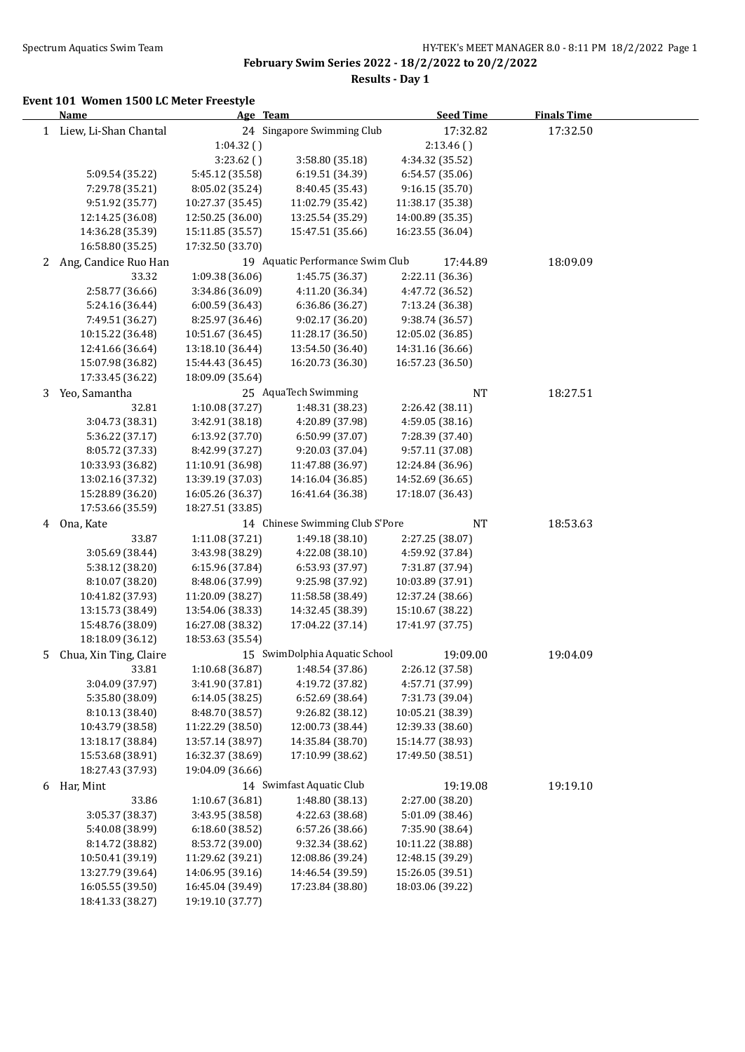l.

**February Swim Series 2022 - 18/2/2022 to 20/2/2022**

**Results - Day 1**

### **Event 101 Women 1500 LC Meter Freestyle**

|    | <b>Name</b>             | Age Team         |                                  | <b>Seed Time</b> | <b>Finals Time</b> |  |
|----|-------------------------|------------------|----------------------------------|------------------|--------------------|--|
|    | 1 Liew, Li-Shan Chantal |                  | 24 Singapore Swimming Club       | 17:32.82         | 17:32.50           |  |
|    |                         | 1:04.32()        |                                  | 2:13.46()        |                    |  |
|    |                         | 3:23.62()        | 3:58.80 (35.18)                  | 4:34.32 (35.52)  |                    |  |
|    | 5:09.54 (35.22)         | 5:45.12 (35.58)  | 6:19.51 (34.39)                  | 6:54.57 (35.06)  |                    |  |
|    | 7:29.78 (35.21)         | 8:05.02 (35.24)  | 8:40.45 (35.43)                  | 9:16.15 (35.70)  |                    |  |
|    | 9:51.92 (35.77)         | 10:27.37 (35.45) | 11:02.79 (35.42)                 | 11:38.17 (35.38) |                    |  |
|    | 12:14.25 (36.08)        | 12:50.25 (36.00) | 13:25.54 (35.29)                 | 14:00.89 (35.35) |                    |  |
|    | 14:36.28 (35.39)        | 15:11.85 (35.57) | 15:47.51 (35.66)                 | 16:23.55 (36.04) |                    |  |
|    | 16:58.80 (35.25)        | 17:32.50 (33.70) |                                  |                  |                    |  |
| 2  | Ang, Candice Ruo Han    |                  | 19 Aquatic Performance Swim Club | 17:44.89         | 18:09.09           |  |
|    | 33.32                   | 1:09.38 (36.06)  | 1:45.75 (36.37)                  | 2:22.11 (36.36)  |                    |  |
|    | 2:58.77 (36.66)         | 3:34.86 (36.09)  | 4:11.20 (36.34)                  | 4:47.72 (36.52)  |                    |  |
|    | 5:24.16 (36.44)         | 6:00.59 (36.43)  | 6:36.86 (36.27)                  | 7:13.24 (36.38)  |                    |  |
|    | 7:49.51 (36.27)         | 8:25.97 (36.46)  | 9:02.17 (36.20)                  | 9:38.74 (36.57)  |                    |  |
|    | 10:15.22 (36.48)        | 10:51.67 (36.45) | 11:28.17 (36.50)                 | 12:05.02 (36.85) |                    |  |
|    | 12:41.66 (36.64)        | 13:18.10 (36.44) | 13:54.50 (36.40)                 | 14:31.16 (36.66) |                    |  |
|    | 15:07.98 (36.82)        | 15:44.43 (36.45) | 16:20.73 (36.30)                 | 16:57.23 (36.50) |                    |  |
|    | 17:33.45 (36.22)        | 18:09.09 (35.64) |                                  |                  |                    |  |
| 3  | Yeo, Samantha           |                  | 25 AquaTech Swimming             | NT               | 18:27.51           |  |
|    | 32.81                   | 1:10.08 (37.27)  | 1:48.31 (38.23)                  | 2:26.42 (38.11)  |                    |  |
|    | 3:04.73 (38.31)         | 3:42.91 (38.18)  | 4:20.89 (37.98)                  | 4:59.05 (38.16)  |                    |  |
|    | 5:36.22 (37.17)         | 6:13.92 (37.70)  | 6:50.99 (37.07)                  | 7:28.39 (37.40)  |                    |  |
|    | 8:05.72 (37.33)         | 8:42.99 (37.27)  | 9:20.03 (37.04)                  | 9:57.11 (37.08)  |                    |  |
|    | 10:33.93 (36.82)        | 11:10.91 (36.98) | 11:47.88 (36.97)                 | 12:24.84 (36.96) |                    |  |
|    | 13:02.16 (37.32)        | 13:39.19 (37.03) | 14:16.04 (36.85)                 | 14:52.69 (36.65) |                    |  |
|    | 15:28.89 (36.20)        | 16:05.26 (36.37) | 16:41.64 (36.38)                 | 17:18.07 (36.43) |                    |  |
|    | 17:53.66 (35.59)        | 18:27.51 (33.85) |                                  |                  |                    |  |
| 4  | Ona, Kate               |                  | 14 Chinese Swimming Club S'Pore  | <b>NT</b>        | 18:53.63           |  |
|    | 33.87                   | 1:11.08 (37.21)  | 1:49.18 (38.10)                  | 2:27.25 (38.07)  |                    |  |
|    | 3:05.69 (38.44)         | 3:43.98 (38.29)  | 4:22.08 (38.10)                  | 4:59.92 (37.84)  |                    |  |
|    | 5:38.12 (38.20)         | 6:15.96 (37.84)  | 6:53.93 (37.97)                  | 7:31.87 (37.94)  |                    |  |
|    | 8:10.07 (38.20)         | 8:48.06 (37.99)  | 9:25.98 (37.92)                  | 10:03.89 (37.91) |                    |  |
|    | 10:41.82 (37.93)        | 11:20.09 (38.27) | 11:58.58 (38.49)                 | 12:37.24 (38.66) |                    |  |
|    | 13:15.73 (38.49)        | 13:54.06 (38.33) | 14:32.45 (38.39)                 | 15:10.67 (38.22) |                    |  |
|    | 15:48.76 (38.09)        | 16:27.08 (38.32) | 17:04.22 (37.14)                 | 17:41.97 (37.75) |                    |  |
|    | 18:18.09 (36.12)        | 18:53.63 (35.54) |                                  |                  |                    |  |
| 5. | Chua, Xin Ting, Claire  |                  | 15 SwimDolphia Aquatic School    | 19:09.00         | 19:04.09           |  |
|    | 33.81                   | 1:10.68 (36.87)  | 1:48.54 (37.86)                  | 2:26.12 (37.58)  |                    |  |
|    | 3:04.09 (37.97)         | 3:41.90 (37.81)  | 4:19.72 (37.82)                  | 4:57.71 (37.99)  |                    |  |
|    | 5:35.80 (38.09)         | 6:14.05 (38.25)  | 6:52.69 (38.64)                  | 7:31.73 (39.04)  |                    |  |
|    | 8:10.13 (38.40)         | 8:48.70 (38.57)  | 9:26.82 (38.12)                  | 10:05.21 (38.39) |                    |  |
|    | 10:43.79 (38.58)        | 11:22.29 (38.50) | 12:00.73 (38.44)                 | 12:39.33 (38.60) |                    |  |
|    | 13:18.17 (38.84)        | 13:57.14 (38.97) | 14:35.84 (38.70)                 | 15:14.77 (38.93) |                    |  |
|    | 15:53.68 (38.91)        | 16:32.37 (38.69) | 17:10.99 (38.62)                 | 17:49.50 (38.51) |                    |  |
|    | 18:27.43 (37.93)        | 19:04.09 (36.66) |                                  |                  |                    |  |
| 6  | Har, Mint               |                  | 14 Swimfast Aquatic Club         | 19:19.08         | 19:19.10           |  |
|    | 33.86                   | 1:10.67 (36.81)  | 1:48.80 (38.13)                  | 2:27.00 (38.20)  |                    |  |
|    | 3:05.37 (38.37)         | 3:43.95 (38.58)  | 4:22.63 (38.68)                  | 5:01.09 (38.46)  |                    |  |
|    | 5:40.08 (38.99)         | 6:18.60 (38.52)  | 6:57.26 (38.66)                  | 7:35.90 (38.64)  |                    |  |
|    | 8:14.72 (38.82)         | 8:53.72 (39.00)  | 9:32.34 (38.62)                  | 10:11.22 (38.88) |                    |  |
|    | 10:50.41 (39.19)        | 11:29.62 (39.21) | 12:08.86 (39.24)                 | 12:48.15 (39.29) |                    |  |
|    | 13:27.79 (39.64)        | 14:06.95 (39.16) | 14:46.54 (39.59)                 | 15:26.05 (39.51) |                    |  |
|    | 16:05.55 (39.50)        | 16:45.04 (39.49) | 17:23.84 (38.80)                 | 18:03.06 (39.22) |                    |  |
|    | 18:41.33 (38.27)        | 19:19.10 (37.77) |                                  |                  |                    |  |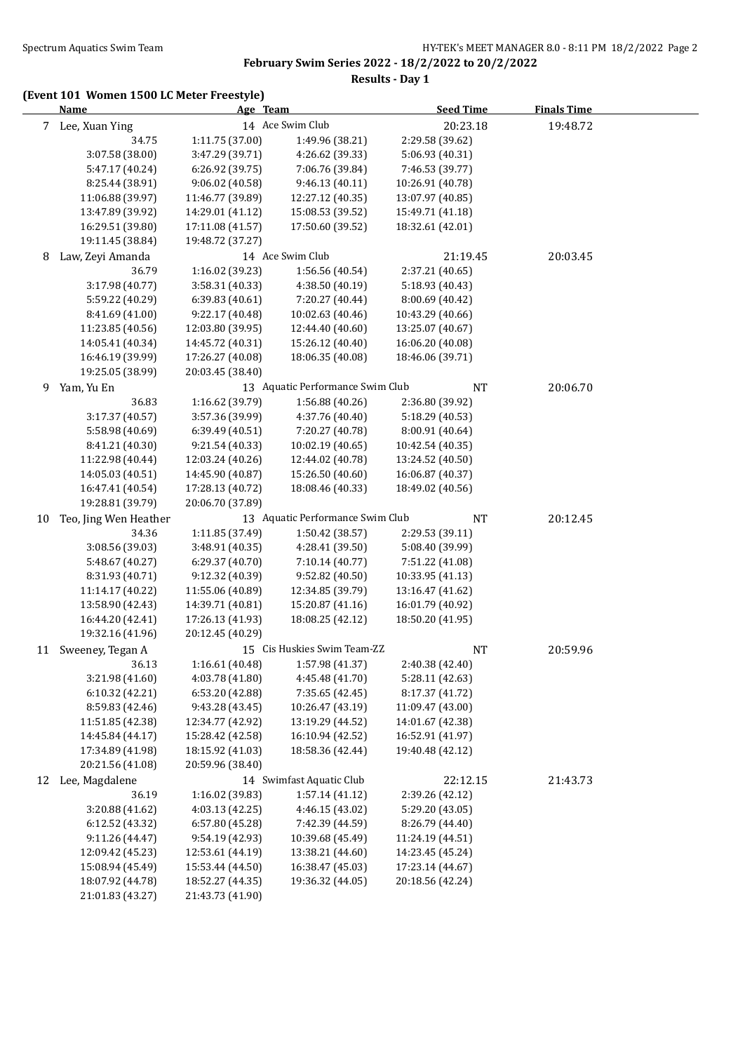**Results - Day 1**

|    | <b>Name</b>           | Age Team         |                                  | <b>Seed Time</b> | <b>Finals Time</b> |  |
|----|-----------------------|------------------|----------------------------------|------------------|--------------------|--|
|    | 7 Lee, Xuan Ying      |                  | 14 Ace Swim Club                 | 20:23.18         | 19:48.72           |  |
|    | 34.75                 | 1:11.75 (37.00)  | 1:49.96 (38.21)                  | 2:29.58 (39.62)  |                    |  |
|    | 3:07.58 (38.00)       | 3:47.29 (39.71)  | 4:26.62 (39.33)                  | 5:06.93 (40.31)  |                    |  |
|    | 5:47.17 (40.24)       | 6:26.92 (39.75)  | 7:06.76 (39.84)                  | 7:46.53 (39.77)  |                    |  |
|    | 8:25.44 (38.91)       | 9:06.02(40.58)   | 9:46.13 (40.11)                  | 10:26.91 (40.78) |                    |  |
|    | 11:06.88 (39.97)      | 11:46.77 (39.89) | 12:27.12 (40.35)                 | 13:07.97 (40.85) |                    |  |
|    | 13:47.89 (39.92)      | 14:29.01 (41.12) | 15:08.53 (39.52)                 | 15:49.71 (41.18) |                    |  |
|    | 16:29.51 (39.80)      | 17:11.08 (41.57) | 17:50.60 (39.52)                 | 18:32.61 (42.01) |                    |  |
|    | 19:11.45 (38.84)      | 19:48.72 (37.27) |                                  |                  |                    |  |
| 8  | Law, Zeyi Amanda      |                  | 14 Ace Swim Club                 | 21:19.45         | 20:03.45           |  |
|    | 36.79                 | 1:16.02 (39.23)  | 1:56.56 (40.54)                  | 2:37.21 (40.65)  |                    |  |
|    | 3:17.98 (40.77)       | 3:58.31 (40.33)  | 4:38.50 (40.19)                  | 5:18.93 (40.43)  |                    |  |
|    | 5:59.22 (40.29)       | 6:39.83 (40.61)  | 7:20.27 (40.44)                  | 8:00.69 (40.42)  |                    |  |
|    | 8:41.69 (41.00)       | 9:22.17 (40.48)  | 10:02.63 (40.46)                 | 10:43.29 (40.66) |                    |  |
|    | 11:23.85 (40.56)      | 12:03.80 (39.95) | 12:44.40 (40.60)                 | 13:25.07 (40.67) |                    |  |
|    | 14:05.41 (40.34)      | 14:45.72 (40.31) | 15:26.12 (40.40)                 | 16:06.20 (40.08) |                    |  |
|    | 16:46.19 (39.99)      | 17:26.27 (40.08) | 18:06.35 (40.08)                 | 18:46.06 (39.71) |                    |  |
|    | 19:25.05 (38.99)      | 20:03.45 (38.40) |                                  |                  |                    |  |
| 9  | Yam, Yu En            |                  | 13 Aquatic Performance Swim Club | NT               | 20:06.70           |  |
|    | 36.83                 | 1:16.62 (39.79)  | 1:56.88 (40.26)                  | 2:36.80 (39.92)  |                    |  |
|    | 3:17.37 (40.57)       | 3:57.36 (39.99)  | 4:37.76 (40.40)                  | 5:18.29 (40.53)  |                    |  |
|    | 5:58.98 (40.69)       | 6:39.49 (40.51)  | 7:20.27 (40.78)                  | 8:00.91 (40.64)  |                    |  |
|    | 8:41.21 (40.30)       | 9:21.54 (40.33)  | 10:02.19 (40.65)                 | 10:42.54 (40.35) |                    |  |
|    | 11:22.98 (40.44)      | 12:03.24 (40.26) | 12:44.02 (40.78)                 | 13:24.52 (40.50) |                    |  |
|    | 14:05.03 (40.51)      | 14:45.90 (40.87) | 15:26.50 (40.60)                 | 16:06.87 (40.37) |                    |  |
|    | 16:47.41 (40.54)      | 17:28.13 (40.72) | 18:08.46 (40.33)                 | 18:49.02 (40.56) |                    |  |
|    | 19:28.81 (39.79)      | 20:06.70 (37.89) |                                  |                  |                    |  |
| 10 | Teo, Jing Wen Heather |                  | 13 Aquatic Performance Swim Club | NT               | 20:12.45           |  |
|    | 34.36                 | 1:11.85 (37.49)  | 1:50.42 (38.57)                  | 2:29.53 (39.11)  |                    |  |
|    | 3:08.56 (39.03)       | 3:48.91 (40.35)  | 4:28.41 (39.50)                  | 5:08.40 (39.99)  |                    |  |
|    | 5:48.67 (40.27)       | 6:29.37 (40.70)  | 7:10.14 (40.77)                  | 7:51.22 (41.08)  |                    |  |
|    | 8:31.93 (40.71)       | 9:12.32 (40.39)  | 9:52.82 (40.50)                  | 10:33.95 (41.13) |                    |  |
|    | 11:14.17 (40.22)      | 11:55.06 (40.89) | 12:34.85 (39.79)                 | 13:16.47 (41.62) |                    |  |
|    | 13:58.90 (42.43)      | 14:39.71 (40.81) | 15:20.87 (41.16)                 | 16:01.79 (40.92) |                    |  |
|    | 16:44.20 (42.41)      | 17:26.13 (41.93) | 18:08.25 (42.12)                 | 18:50.20 (41.95) |                    |  |
|    | 19:32.16 (41.96)      | 20:12.45 (40.29) |                                  |                  |                    |  |
|    | 11 Sweeney, Tegan A   |                  | 15 Cis Huskies Swim Team-ZZ      | <b>NT</b>        | 20:59.96           |  |
|    | 36.13                 | 1:16.61 (40.48)  | 1:57.98 (41.37)                  | 2:40.38 (42.40)  |                    |  |
|    | 3:21.98 (41.60)       | 4:03.78 (41.80)  | 4:45.48 (41.70)                  | 5:28.11 (42.63)  |                    |  |
|    | 6:10.32 (42.21)       | 6:53.20 (42.88)  | 7:35.65 (42.45)                  | 8:17.37 (41.72)  |                    |  |
|    | 8:59.83 (42.46)       | 9:43.28 (43.45)  | 10:26.47 (43.19)                 | 11:09.47 (43.00) |                    |  |
|    | 11:51.85 (42.38)      | 12:34.77 (42.92) | 13:19.29 (44.52)                 | 14:01.67 (42.38) |                    |  |
|    | 14:45.84 (44.17)      | 15:28.42 (42.58) | 16:10.94 (42.52)                 | 16:52.91 (41.97) |                    |  |
|    | 17:34.89 (41.98)      | 18:15.92 (41.03) | 18:58.36 (42.44)                 | 19:40.48 (42.12) |                    |  |
|    | 20:21.56 (41.08)      | 20:59.96 (38.40) |                                  |                  |                    |  |
| 12 | Lee, Magdalene        |                  | 14 Swimfast Aquatic Club         | 22:12.15         | 21:43.73           |  |
|    | 36.19                 | 1:16.02 (39.83)  | 1:57.14(41.12)                   | 2:39.26 (42.12)  |                    |  |
|    | 3:20.88 (41.62)       | 4:03.13 (42.25)  | 4:46.15 (43.02)                  | 5:29.20 (43.05)  |                    |  |
|    | 6:12.52 (43.32)       | 6:57.80 (45.28)  | 7:42.39 (44.59)                  | 8:26.79 (44.40)  |                    |  |
|    | 9:11.26 (44.47)       | 9:54.19 (42.93)  | 10:39.68 (45.49)                 | 11:24.19 (44.51) |                    |  |
|    | 12:09.42 (45.23)      | 12:53.61 (44.19) | 13:38.21 (44.60)                 | 14:23.45 (45.24) |                    |  |
|    | 15:08.94 (45.49)      | 15:53.44 (44.50) | 16:38.47 (45.03)                 | 17:23.14 (44.67) |                    |  |
|    | 18:07.92 (44.78)      | 18:52.27 (44.35) | 19:36.32 (44.05)                 | 20:18.56 (42.24) |                    |  |
|    | 21:01.83 (43.27)      | 21:43.73 (41.90) |                                  |                  |                    |  |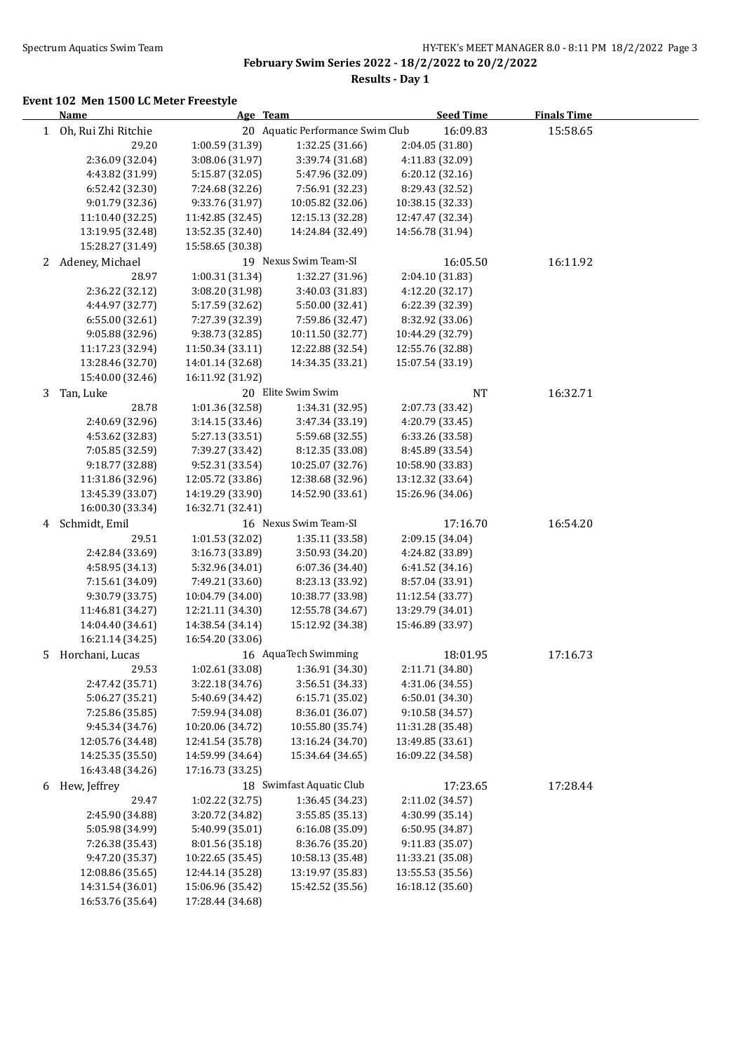i.

**February Swim Series 2022 - 18/2/2022 to 20/2/2022**

**Results - Day 1**

|              | <b>Name</b>         | Age Team         |                                  | <b>Seed Time</b> | <b>Finals Time</b> |  |
|--------------|---------------------|------------------|----------------------------------|------------------|--------------------|--|
| $\mathbf{1}$ | Oh, Rui Zhi Ritchie |                  | 20 Aquatic Performance Swim Club | 16:09.83         | 15:58.65           |  |
|              | 29.20               | 1:00.59 (31.39)  | 1:32.25 (31.66)                  | 2:04.05 (31.80)  |                    |  |
|              | 2:36.09 (32.04)     | 3:08.06 (31.97)  | 3:39.74 (31.68)                  | 4:11.83 (32.09)  |                    |  |
|              | 4:43.82 (31.99)     | 5:15.87 (32.05)  | 5:47.96 (32.09)                  | 6:20.12 (32.16)  |                    |  |
|              | 6:52.42 (32.30)     | 7:24.68 (32.26)  | 7:56.91 (32.23)                  | 8:29.43 (32.52)  |                    |  |
|              | 9:01.79 (32.36)     | 9:33.76 (31.97)  | 10:05.82 (32.06)                 | 10:38.15 (32.33) |                    |  |
|              | 11:10.40 (32.25)    | 11:42.85 (32.45) | 12:15.13 (32.28)                 | 12:47.47 (32.34) |                    |  |
|              | 13:19.95 (32.48)    | 13:52.35 (32.40) | 14:24.84 (32.49)                 | 14:56.78 (31.94) |                    |  |
|              | 15:28.27 (31.49)    | 15:58.65 (30.38) |                                  |                  |                    |  |
| 2            | Adeney, Michael     |                  | 19 Nexus Swim Team-SI            | 16:05.50         | 16:11.92           |  |
|              | 28.97               | 1:00.31 (31.34)  | 1:32.27 (31.96)                  | 2:04.10 (31.83)  |                    |  |
|              | 2:36.22 (32.12)     | 3:08.20 (31.98)  | 3:40.03 (31.83)                  | 4:12.20 (32.17)  |                    |  |
|              | 4:44.97 (32.77)     | 5:17.59 (32.62)  | 5:50.00 (32.41)                  | 6:22.39 (32.39)  |                    |  |
|              | 6:55.00 (32.61)     | 7:27.39 (32.39)  | 7:59.86 (32.47)                  | 8:32.92 (33.06)  |                    |  |
|              | 9:05.88 (32.96)     | 9:38.73 (32.85)  | 10:11.50 (32.77)                 | 10:44.29 (32.79) |                    |  |
|              | 11:17.23 (32.94)    | 11:50.34 (33.11) | 12:22.88 (32.54)                 | 12:55.76 (32.88) |                    |  |
|              | 13:28.46 (32.70)    | 14:01.14 (32.68) | 14:34.35 (33.21)                 | 15:07.54 (33.19) |                    |  |
|              | 15:40.00 (32.46)    | 16:11.92 (31.92) |                                  |                  |                    |  |
|              |                     |                  | 20 Elite Swim Swim               |                  |                    |  |
| 3            | Tan, Luke           |                  |                                  | <b>NT</b>        | 16:32.71           |  |
|              | 28.78               | 1:01.36 (32.58)  | 1:34.31 (32.95)                  | 2:07.73 (33.42)  |                    |  |
|              | 2:40.69 (32.96)     | 3:14.15 (33.46)  | 3:47.34 (33.19)                  | 4:20.79 (33.45)  |                    |  |
|              | 4:53.62 (32.83)     | 5:27.13 (33.51)  | 5:59.68 (32.55)                  | 6:33.26 (33.58)  |                    |  |
|              | 7:05.85 (32.59)     | 7:39.27 (33.42)  | 8:12.35 (33.08)                  | 8:45.89 (33.54)  |                    |  |
|              | 9:18.77 (32.88)     | 9:52.31 (33.54)  | 10:25.07 (32.76)                 | 10:58.90 (33.83) |                    |  |
|              | 11:31.86 (32.96)    | 12:05.72 (33.86) | 12:38.68 (32.96)                 | 13:12.32 (33.64) |                    |  |
|              | 13:45.39 (33.07)    | 14:19.29 (33.90) | 14:52.90 (33.61)                 | 15:26.96 (34.06) |                    |  |
|              | 16:00.30 (33.34)    | 16:32.71 (32.41) |                                  |                  |                    |  |
| 4            | Schmidt, Emil       |                  | 16 Nexus Swim Team-SI            | 17:16.70         | 16:54.20           |  |
|              | 29.51               | 1:01.53 (32.02)  | 1:35.11 (33.58)                  | 2:09.15 (34.04)  |                    |  |
|              | 2:42.84 (33.69)     | 3:16.73 (33.89)  | 3:50.93 (34.20)                  | 4:24.82 (33.89)  |                    |  |
|              | 4:58.95 (34.13)     | 5:32.96 (34.01)  | 6:07.36 (34.40)                  | 6:41.52 (34.16)  |                    |  |
|              | 7:15.61 (34.09)     | 7:49.21 (33.60)  | 8:23.13 (33.92)                  | 8:57.04 (33.91)  |                    |  |
|              | 9:30.79 (33.75)     | 10:04.79 (34.00) | 10:38.77 (33.98)                 | 11:12.54 (33.77) |                    |  |
|              | 11:46.81 (34.27)    | 12:21.11 (34.30) | 12:55.78 (34.67)                 | 13:29.79 (34.01) |                    |  |
|              | 14:04.40 (34.61)    | 14:38.54 (34.14) | 15:12.92 (34.38)                 | 15:46.89 (33.97) |                    |  |
|              | 16:21.14 (34.25)    | 16:54.20 (33.06) |                                  |                  |                    |  |
| 5.           | Horchani, Lucas     |                  | 16 AquaTech Swimming             | 18:01.95         | 17:16.73           |  |
|              | 29.53               | 1:02.61 (33.08)  | 1:36.91 (34.30)                  | 2:11.71 (34.80)  |                    |  |
|              | 2:47.42 (35.71)     | 3:22.18 (34.76)  | 3:56.51 (34.33)                  | 4:31.06 (34.55)  |                    |  |
|              | 5:06.27 (35.21)     | 5:40.69 (34.42)  | 6:15.71 (35.02)                  | 6:50.01 (34.30)  |                    |  |
|              | 7:25.86 (35.85)     | 7:59.94 (34.08)  | 8:36.01 (36.07)                  | 9:10.58 (34.57)  |                    |  |
|              | 9:45.34 (34.76)     | 10:20.06 (34.72) | 10:55.80 (35.74)                 | 11:31.28 (35.48) |                    |  |
|              | 12:05.76 (34.48)    | 12:41.54 (35.78) | 13:16.24 (34.70)                 | 13:49.85 (33.61) |                    |  |
|              | 14:25.35 (35.50)    | 14:59.99 (34.64) | 15:34.64 (34.65)                 | 16:09.22 (34.58) |                    |  |
|              | 16:43.48 (34.26)    | 17:16.73 (33.25) |                                  |                  |                    |  |
| 6            | Hew, Jeffrey        |                  | 18 Swimfast Aquatic Club         | 17:23.65         | 17:28.44           |  |
|              | 29.47               | 1:02.22 (32.75)  | 1:36.45 (34.23)                  | 2:11.02 (34.57)  |                    |  |
|              | 2:45.90 (34.88)     | 3:20.72 (34.82)  | 3:55.85 (35.13)                  | 4:30.99 (35.14)  |                    |  |
|              | 5:05.98 (34.99)     | 5:40.99 (35.01)  | 6:16.08 (35.09)                  | 6:50.95 (34.87)  |                    |  |
|              | 7:26.38 (35.43)     | 8:01.56 (35.18)  | 8:36.76 (35.20)                  | 9:11.83 (35.07)  |                    |  |
|              | 9:47.20 (35.37)     | 10:22.65 (35.45) | 10:58.13 (35.48)                 | 11:33.21 (35.08) |                    |  |
|              | 12:08.86 (35.65)    | 12:44.14 (35.28) | 13:19.97 (35.83)                 | 13:55.53 (35.56) |                    |  |
|              | 14:31.54 (36.01)    | 15:06.96 (35.42) | 15:42.52 (35.56)                 | 16:18.12 (35.60) |                    |  |
|              | 16:53.76 (35.64)    | 17:28.44 (34.68) |                                  |                  |                    |  |
|              |                     |                  |                                  |                  |                    |  |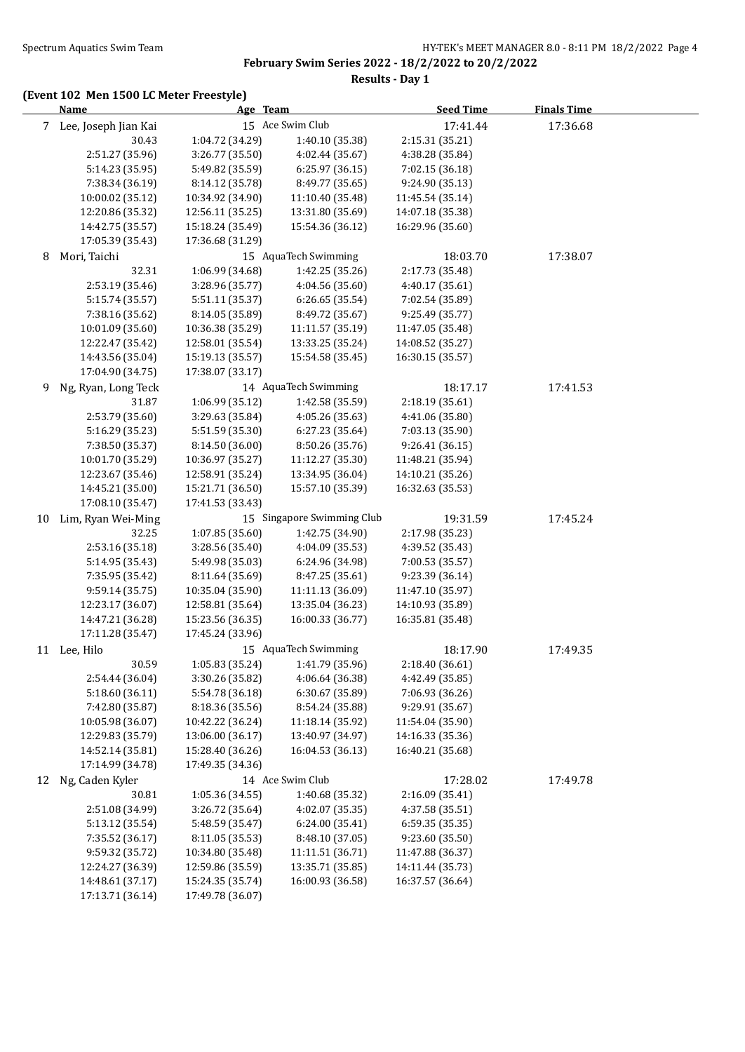**Results - Day 1**

|    | Age Team<br><b>Name</b>              |                                      | <b>Seed Time</b>                     | <b>Finals Time</b>                   |          |  |
|----|--------------------------------------|--------------------------------------|--------------------------------------|--------------------------------------|----------|--|
|    | 7 Lee, Joseph Jian Kai               |                                      | 15 Ace Swim Club                     | 17:41.44                             | 17:36.68 |  |
|    | 30.43                                | 1:04.72 (34.29)                      | 1:40.10 (35.38)                      | 2:15.31 (35.21)                      |          |  |
|    | 2:51.27 (35.96)                      | 3:26.77 (35.50)                      | 4:02.44 (35.67)                      | 4:38.28 (35.84)                      |          |  |
|    | 5:14.23 (35.95)                      | 5:49.82 (35.59)                      | 6:25.97(36.15)                       | 7:02.15 (36.18)                      |          |  |
|    | 7:38.34 (36.19)                      | 8:14.12 (35.78)                      | 8:49.77 (35.65)                      | 9:24.90 (35.13)                      |          |  |
|    | 10:00.02 (35.12)                     | 10:34.92 (34.90)                     | 11:10.40 (35.48)                     | 11:45.54 (35.14)                     |          |  |
|    | 12:20.86 (35.32)                     | 12:56.11 (35.25)                     | 13:31.80 (35.69)                     | 14:07.18 (35.38)                     |          |  |
|    | 14:42.75 (35.57)                     | 15:18.24 (35.49)                     | 15:54.36 (36.12)                     | 16:29.96 (35.60)                     |          |  |
|    | 17:05.39 (35.43)                     | 17:36.68 (31.29)                     |                                      |                                      |          |  |
| 8  | Mori, Taichi                         |                                      | 15 AquaTech Swimming                 | 18:03.70                             | 17:38.07 |  |
|    | 32.31                                | 1:06.99 (34.68)                      | 1:42.25 (35.26)                      | 2:17.73 (35.48)                      |          |  |
|    | 2:53.19 (35.46)                      | 3:28.96 (35.77)                      | 4:04.56 (35.60)                      | 4:40.17 (35.61)                      |          |  |
|    | 5:15.74 (35.57)                      | 5:51.11 (35.37)                      | 6:26.65 (35.54)                      | 7:02.54 (35.89)                      |          |  |
|    | 7:38.16 (35.62)                      | 8:14.05 (35.89)                      | 8:49.72 (35.67)                      | 9:25.49 (35.77)                      |          |  |
|    | 10:01.09 (35.60)                     | 10:36.38 (35.29)                     | 11:11.57 (35.19)                     | 11:47.05 (35.48)<br>14:08.52 (35.27) |          |  |
|    | 12:22.47 (35.42)                     | 12:58.01 (35.54)                     | 13:33.25 (35.24)                     | 16:30.15 (35.57)                     |          |  |
|    | 14:43.56 (35.04)<br>17:04.90 (34.75) | 15:19.13 (35.57)<br>17:38.07 (33.17) | 15:54.58 (35.45)                     |                                      |          |  |
| 9  | Ng, Ryan, Long Teck                  |                                      | 14 AquaTech Swimming                 | 18:17.17                             | 17:41.53 |  |
|    | 31.87                                | 1:06.99 (35.12)                      | 1:42.58 (35.59)                      | 2:18.19 (35.61)                      |          |  |
|    | 2:53.79 (35.60)                      | 3:29.63 (35.84)                      | 4:05.26 (35.63)                      | 4:41.06 (35.80)                      |          |  |
|    | 5:16.29 (35.23)                      | 5:51.59 (35.30)                      | 6:27.23 (35.64)                      | 7:03.13 (35.90)                      |          |  |
|    | 7:38.50 (35.37)                      | 8:14.50 (36.00)                      | 8:50.26 (35.76)                      | 9:26.41 (36.15)                      |          |  |
|    | 10:01.70 (35.29)                     | 10:36.97 (35.27)                     | 11:12.27 (35.30)                     | 11:48.21 (35.94)                     |          |  |
|    | 12:23.67 (35.46)                     | 12:58.91 (35.24)                     | 13:34.95 (36.04)                     | 14:10.21 (35.26)                     |          |  |
|    | 14:45.21 (35.00)                     | 15:21.71 (36.50)                     | 15:57.10 (35.39)                     | 16:32.63 (35.53)                     |          |  |
|    | 17:08.10 (35.47)                     | 17:41.53 (33.43)                     |                                      |                                      |          |  |
| 10 | Lim, Ryan Wei-Ming                   |                                      | 15 Singapore Swimming Club           | 19:31.59                             | 17:45.24 |  |
|    | 32.25                                | 1:07.85 (35.60)                      | 1:42.75 (34.90)                      | 2:17.98 (35.23)                      |          |  |
|    | 2:53.16 (35.18)                      | 3:28.56 (35.40)                      | 4:04.09 (35.53)                      | 4:39.52 (35.43)                      |          |  |
|    | 5:14.95 (35.43)                      | 5:49.98 (35.03)                      | 6:24.96 (34.98)                      | 7:00.53 (35.57)                      |          |  |
|    | 7:35.95 (35.42)                      | 8:11.64 (35.69)                      | 8:47.25 (35.61)                      | 9:23.39 (36.14)                      |          |  |
|    | 9:59.14 (35.75)                      | 10:35.04 (35.90)                     | 11:11.13 (36.09)                     | 11:47.10 (35.97)                     |          |  |
|    | 12:23.17 (36.07)                     | 12:58.81 (35.64)                     | 13:35.04 (36.23)                     | 14:10.93 (35.89)                     |          |  |
|    | 14:47.21 (36.28)                     | 15:23.56 (36.35)                     | 16:00.33 (36.77)                     | 16:35.81 (35.48)                     |          |  |
|    | 17:11.28 (35.47)                     | 17:45.24 (33.96)                     |                                      |                                      |          |  |
|    | 11 Lee, Hilo                         |                                      | 15 AquaTech Swimming                 | 18:17.90                             | 17:49.35 |  |
|    | 30.59                                |                                      | $1:05.83$ (35.24) $1:41.79$ (35.96)  | 2:18.40 (36.61)                      |          |  |
|    | 2:54.44 (36.04)                      | 3:30.26 (35.82)                      | 4:06.64 (36.38)                      | 4:42.49 (35.85)                      |          |  |
|    | 5:18.60 (36.11)                      | 5:54.78 (36.18)                      | 6:30.67 (35.89)                      | 7:06.93 (36.26)                      |          |  |
|    | 7:42.80 (35.87)                      | 8:18.36 (35.56)                      | 8:54.24 (35.88)                      | 9:29.91 (35.67)                      |          |  |
|    | 10:05.98 (36.07)                     | 10:42.22 (36.24)                     | 11:18.14 (35.92)                     | 11:54.04 (35.90)                     |          |  |
|    | 12:29.83 (35.79)                     | 13:06.00 (36.17)<br>15:28.40 (36.26) | 13:40.97 (34.97)<br>16:04.53 (36.13) | 14:16.33 (35.36)<br>16:40.21 (35.68) |          |  |
|    | 14:52.14 (35.81)<br>17:14.99 (34.78) | 17:49.35 (34.36)                     |                                      |                                      |          |  |
|    | 12 Ng, Caden Kyler                   |                                      | 14 Ace Swim Club                     | 17:28.02                             |          |  |
|    | 30.81                                | 1:05.36 (34.55)                      | 1:40.68 (35.32)                      | 2:16.09 (35.41)                      | 17:49.78 |  |
|    | 2:51.08 (34.99)                      | 3:26.72 (35.64)                      | 4:02.07 (35.35)                      | 4:37.58 (35.51)                      |          |  |
|    | 5:13.12 (35.54)                      | 5:48.59 (35.47)                      | 6:24.00 (35.41)                      | 6:59.35 (35.35)                      |          |  |
|    | 7:35.52 (36.17)                      | 8:11.05 (35.53)                      | 8:48.10 (37.05)                      | 9:23.60 (35.50)                      |          |  |
|    | 9:59.32 (35.72)                      | 10:34.80 (35.48)                     | 11:11.51 (36.71)                     | 11:47.88 (36.37)                     |          |  |
|    | 12:24.27 (36.39)                     | 12:59.86 (35.59)                     | 13:35.71 (35.85)                     | 14:11.44 (35.73)                     |          |  |
|    | 14:48.61 (37.17)                     | 15:24.35 (35.74)                     | 16:00.93 (36.58)                     | 16:37.57 (36.64)                     |          |  |
|    | 17:13.71 (36.14)                     | 17:49.78 (36.07)                     |                                      |                                      |          |  |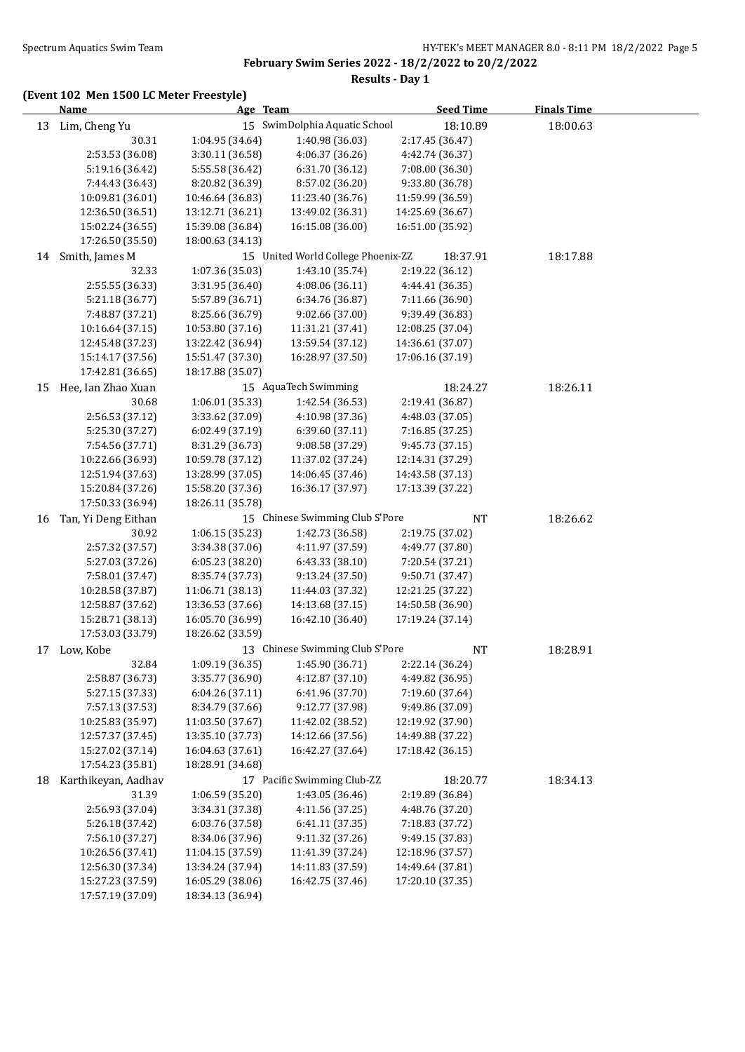# **Results - Day 1**

|    | <b>Name</b>                         | Age Team                             |                                      | <b>Seed Time</b>                     | <b>Finals Time</b> |  |
|----|-------------------------------------|--------------------------------------|--------------------------------------|--------------------------------------|--------------------|--|
| 13 | Lim, Cheng Yu                       |                                      | 15 SwimDolphia Aquatic School        | 18:10.89                             | 18:00.63           |  |
|    | 30.31                               | 1:04.95 (34.64)                      | 1:40.98 (36.03)                      | 2:17.45 (36.47)                      |                    |  |
|    | 2:53.53 (36.08)                     | 3:30.11 (36.58)                      | 4:06.37 (36.26)                      | 4:42.74 (36.37)                      |                    |  |
|    | 5:19.16 (36.42)                     | 5:55.58 (36.42)                      | 6:31.70 (36.12)                      | 7:08.00 (36.30)                      |                    |  |
|    | 7:44.43 (36.43)                     | 8:20.82 (36.39)                      | 8:57.02 (36.20)                      | 9:33.80 (36.78)                      |                    |  |
|    | 10:09.81 (36.01)                    | 10:46.64 (36.83)                     | 11:23.40 (36.76)                     | 11:59.99 (36.59)                     |                    |  |
|    | 12:36.50 (36.51)                    | 13:12.71 (36.21)                     | 13:49.02 (36.31)                     | 14:25.69 (36.67)                     |                    |  |
|    | 15:02.24 (36.55)                    | 15:39.08 (36.84)                     | 16:15.08 (36.00)                     | 16:51.00 (35.92)                     |                    |  |
|    | 17:26.50 (35.50)                    | 18:00.63 (34.13)                     |                                      |                                      |                    |  |
| 14 | Smith, James M                      |                                      | 15 United World College Phoenix-ZZ   | 18:37.91                             | 18:17.88           |  |
|    | 32.33                               | 1:07.36 (35.03)                      | 1:43.10 (35.74)                      | 2:19.22 (36.12)                      |                    |  |
|    | 2:55.55 (36.33)                     | 3:31.95 (36.40)                      | 4:08.06 (36.11)                      | 4:44.41 (36.35)                      |                    |  |
|    | 5:21.18 (36.77)                     | 5:57.89 (36.71)                      | 6:34.76 (36.87)                      | 7:11.66 (36.90)                      |                    |  |
|    | 7:48.87 (37.21)                     | 8:25.66 (36.79)                      | 9:02.66 (37.00)                      | 9:39.49 (36.83)                      |                    |  |
|    | 10:16.64 (37.15)                    | 10:53.80 (37.16)                     | 11:31.21 (37.41)                     | 12:08.25 (37.04)                     |                    |  |
|    | 12:45.48 (37.23)                    | 13:22.42 (36.94)                     | 13:59.54 (37.12)                     | 14:36.61 (37.07)                     |                    |  |
|    | 15:14.17 (37.56)                    | 15:51.47 (37.30)                     | 16:28.97 (37.50)                     | 17:06.16 (37.19)                     |                    |  |
|    | 17:42.81 (36.65)                    | 18:17.88 (35.07)                     |                                      |                                      |                    |  |
| 15 | Hee, Ian Zhao Xuan                  |                                      | 15 AquaTech Swimming                 | 18:24.27                             | 18:26.11           |  |
|    | 30.68                               | 1:06.01 (35.33)                      | 1:42.54 (36.53)                      | 2:19.41 (36.87)                      |                    |  |
|    | 2:56.53 (37.12)                     | 3:33.62 (37.09)                      | 4:10.98 (37.36)                      | 4:48.03 (37.05)                      |                    |  |
|    | 5:25.30 (37.27)                     | 6:02.49 (37.19)                      | 6:39.60 (37.11)                      | 7:16.85 (37.25)                      |                    |  |
|    | 7:54.56 (37.71)<br>10:22.66 (36.93) | 8:31.29 (36.73)                      | 9:08.58 (37.29)                      | 9:45.73 (37.15)                      |                    |  |
|    | 12:51.94 (37.63)                    | 10:59.78 (37.12)<br>13:28.99 (37.05) | 11:37.02 (37.24)<br>14:06.45 (37.46) | 12:14.31 (37.29)<br>14:43.58 (37.13) |                    |  |
|    | 15:20.84 (37.26)                    | 15:58.20 (37.36)                     | 16:36.17 (37.97)                     | 17:13.39 (37.22)                     |                    |  |
|    | 17:50.33 (36.94)                    | 18:26.11 (35.78)                     |                                      |                                      |                    |  |
| 16 | Tan, Yi Deng Eithan                 |                                      | 15 Chinese Swimming Club S'Pore      | <b>NT</b>                            | 18:26.62           |  |
|    | 30.92                               | 1:06.15 (35.23)                      | 1:42.73 (36.58)                      | 2:19.75 (37.02)                      |                    |  |
|    | 2:57.32 (37.57)                     | 3:34.38 (37.06)                      | 4:11.97 (37.59)                      | 4:49.77 (37.80)                      |                    |  |
|    | 5:27.03 (37.26)                     | 6:05.23 (38.20)                      | 6:43.33 (38.10)                      | 7:20.54 (37.21)                      |                    |  |
|    | 7:58.01 (37.47)                     | 8:35.74 (37.73)                      | 9:13.24 (37.50)                      | 9:50.71 (37.47)                      |                    |  |
|    | 10:28.58 (37.87)                    | 11:06.71 (38.13)                     | 11:44.03 (37.32)                     | 12:21.25 (37.22)                     |                    |  |
|    | 12:58.87 (37.62)                    | 13:36.53 (37.66)                     | 14:13.68 (37.15)                     | 14:50.58 (36.90)                     |                    |  |
|    | 15:28.71 (38.13)                    | 16:05.70 (36.99)                     | 16:42.10 (36.40)                     | 17:19.24 (37.14)                     |                    |  |
|    | 17:53.03 (33.79)                    | 18:26.62 (33.59)                     |                                      |                                      |                    |  |
| 17 | Low, Kobe                           |                                      | 13 Chinese Swimming Club S'Pore      | NT                                   | 18:28.91           |  |
|    | 32.84                               | 1:09.19 (36.35)                      | 1:45.90 (36.71)                      | 2:22.14 (36.24)                      |                    |  |
|    | 2:58.87 (36.73)                     | 3:35.77 (36.90)                      | 4:12.87 (37.10)                      | 4:49.82 (36.95)                      |                    |  |
|    | 5:27.15 (37.33)                     | 6:04.26(37.11)                       | 6:41.96 (37.70)                      | 7:19.60 (37.64)                      |                    |  |
|    | 7:57.13 (37.53)                     | 8:34.79 (37.66)                      | 9:12.77 (37.98)                      | 9:49.86 (37.09)                      |                    |  |
|    | 10:25.83 (35.97)                    | 11:03.50 (37.67)                     | 11:42.02 (38.52)                     | 12:19.92 (37.90)                     |                    |  |
|    | 12:57.37 (37.45)                    | 13:35.10 (37.73)                     | 14:12.66 (37.56)                     | 14:49.88 (37.22)                     |                    |  |
|    | 15:27.02 (37.14)                    | 16:04.63 (37.61)                     | 16:42.27 (37.64)                     | 17:18.42 (36.15)                     |                    |  |
|    | 17:54.23 (35.81)                    | 18:28.91 (34.68)                     |                                      |                                      |                    |  |
| 18 | Karthikeyan, Aadhav                 |                                      | 17 Pacific Swimming Club-ZZ          | 18:20.77                             | 18:34.13           |  |
|    | 31.39                               | 1:06.59 (35.20)                      | 1:43.05 (36.46)                      | 2:19.89 (36.84)                      |                    |  |
|    | 2:56.93 (37.04)                     | 3:34.31 (37.38)                      | 4:11.56 (37.25)                      | 4:48.76 (37.20)                      |                    |  |
|    | 5:26.18 (37.42)                     | 6:03.76 (37.58)                      | 6:41.11 (37.35)                      | 7:18.83 (37.72)                      |                    |  |
|    | 7:56.10 (37.27)<br>10:26.56 (37.41) | 8:34.06 (37.96)<br>11:04.15 (37.59)  | 9:11.32 (37.26)<br>11:41.39 (37.24)  | 9:49.15 (37.83)<br>12:18.96 (37.57)  |                    |  |
|    | 12:56.30 (37.34)                    | 13:34.24 (37.94)                     | 14:11.83 (37.59)                     | 14:49.64 (37.81)                     |                    |  |
|    | 15:27.23 (37.59)                    | 16:05.29 (38.06)                     | 16:42.75 (37.46)                     | 17:20.10 (37.35)                     |                    |  |
|    | 17:57.19 (37.09)                    | 18:34.13 (36.94)                     |                                      |                                      |                    |  |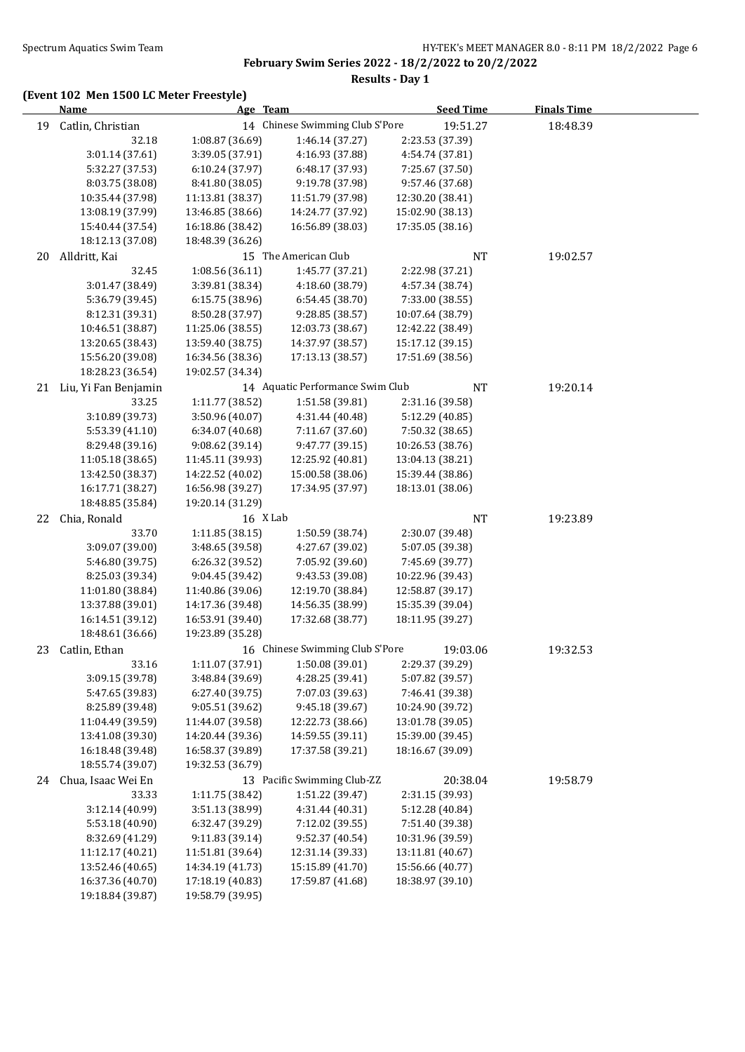**February Swim Series 2022 - 18/2/2022 to 20/2/2022 Results - Day 1**

|    | <b>Name</b>                          | Age Team<br><b>Seed Time</b>         |                                      |                                      | <b>Finals Time</b> |  |
|----|--------------------------------------|--------------------------------------|--------------------------------------|--------------------------------------|--------------------|--|
| 19 | Catlin, Christian                    |                                      | 14 Chinese Swimming Club S'Pore      | 19:51.27                             | 18:48.39           |  |
|    | 32.18                                | 1:08.87 (36.69)                      | 1:46.14 (37.27)                      | 2:23.53 (37.39)                      |                    |  |
|    | 3:01.14 (37.61)                      | 3:39.05 (37.91)                      | 4:16.93 (37.88)                      | 4:54.74 (37.81)                      |                    |  |
|    | 5:32.27 (37.53)                      | 6:10.24 (37.97)                      | 6:48.17 (37.93)                      | 7:25.67 (37.50)                      |                    |  |
|    | 8:03.75 (38.08)                      | 8:41.80 (38.05)                      | 9:19.78 (37.98)                      | 9:57.46 (37.68)                      |                    |  |
|    | 10:35.44 (37.98)                     | 11:13.81 (38.37)                     | 11:51.79 (37.98)                     | 12:30.20 (38.41)                     |                    |  |
|    | 13:08.19 (37.99)                     | 13:46.85 (38.66)                     | 14:24.77 (37.92)                     | 15:02.90 (38.13)                     |                    |  |
|    | 15:40.44 (37.54)                     | 16:18.86 (38.42)                     | 16:56.89 (38.03)                     | 17:35.05 (38.16)                     |                    |  |
|    | 18:12.13 (37.08)                     | 18:48.39 (36.26)                     |                                      |                                      |                    |  |
| 20 | Alldritt, Kai                        |                                      | 15 The American Club                 | NT                                   | 19:02.57           |  |
|    | 32.45                                | 1:08.56 (36.11)                      | 1:45.77 (37.21)                      | 2:22.98 (37.21)                      |                    |  |
|    | 3:01.47 (38.49)                      | 3:39.81 (38.34)                      | 4:18.60 (38.79)                      | 4:57.34 (38.74)                      |                    |  |
|    | 5:36.79 (39.45)                      | 6:15.75(38.96)                       | 6:54.45 (38.70)                      | 7:33.00 (38.55)                      |                    |  |
|    | 8:12.31 (39.31)                      | 8:50.28 (37.97)                      | 9:28.85 (38.57)                      | 10:07.64 (38.79)                     |                    |  |
|    | 10:46.51 (38.87)                     | 11:25.06 (38.55)                     | 12:03.73 (38.67)                     | 12:42.22 (38.49)                     |                    |  |
|    | 13:20.65 (38.43)                     | 13:59.40 (38.75)                     | 14:37.97 (38.57)                     | 15:17.12 (39.15)                     |                    |  |
|    | 15:56.20 (39.08)                     | 16:34.56 (38.36)                     | 17:13.13 (38.57)                     | 17:51.69 (38.56)                     |                    |  |
|    | 18:28.23 (36.54)                     | 19:02.57 (34.34)                     |                                      |                                      |                    |  |
| 21 | Liu, Yi Fan Benjamin                 |                                      | 14 Aquatic Performance Swim Club     | NT                                   | 19:20.14           |  |
|    | 33.25                                | 1:11.77 (38.52)                      | 1:51.58 (39.81)                      | 2:31.16 (39.58)                      |                    |  |
|    | 3:10.89 (39.73)                      | 3:50.96 (40.07)                      | 4:31.44 (40.48)                      | 5:12.29 (40.85)                      |                    |  |
|    | 5:53.39 (41.10)                      | 6:34.07 (40.68)                      | 7:11.67 (37.60)                      | 7:50.32 (38.65)                      |                    |  |
|    | 8:29.48 (39.16)                      | 9:08.62 (39.14)                      | 9:47.77 (39.15)                      | 10:26.53 (38.76)                     |                    |  |
|    | 11:05.18 (38.65)                     | 11:45.11 (39.93)                     | 12:25.92 (40.81)                     | 13:04.13 (38.21)                     |                    |  |
|    | 13:42.50 (38.37)<br>16:17.71 (38.27) | 14:22.52 (40.02)                     | 15:00.58 (38.06)<br>17:34.95 (37.97) | 15:39.44 (38.86)<br>18:13.01 (38.06) |                    |  |
|    | 18:48.85 (35.84)                     | 16:56.98 (39.27)<br>19:20.14 (31.29) |                                      |                                      |                    |  |
| 22 | Chia, Ronald                         | 16 X Lab                             |                                      | <b>NT</b>                            | 19:23.89           |  |
|    | 33.70                                | 1:11.85(38.15)                       | 1:50.59 (38.74)                      | 2:30.07 (39.48)                      |                    |  |
|    | 3:09.07 (39.00)                      | 3:48.65 (39.58)                      | 4:27.67 (39.02)                      | 5:07.05 (39.38)                      |                    |  |
|    | 5:46.80 (39.75)                      | 6:26.32 (39.52)                      | 7:05.92 (39.60)                      | 7:45.69 (39.77)                      |                    |  |
|    | 8:25.03 (39.34)                      | 9:04.45 (39.42)                      | 9:43.53 (39.08)                      | 10:22.96 (39.43)                     |                    |  |
|    | 11:01.80 (38.84)                     | 11:40.86 (39.06)                     | 12:19.70 (38.84)                     | 12:58.87 (39.17)                     |                    |  |
|    | 13:37.88 (39.01)                     | 14:17.36 (39.48)                     | 14:56.35 (38.99)                     | 15:35.39 (39.04)                     |                    |  |
|    | 16:14.51 (39.12)                     | 16:53.91 (39.40)                     | 17:32.68 (38.77)                     | 18:11.95 (39.27)                     |                    |  |
|    | 18:48.61 (36.66)                     | 19:23.89 (35.28)                     |                                      |                                      |                    |  |
| 23 | Catlin, Ethan                        |                                      | 16 Chinese Swimming Club S'Pore      | 19:03.06                             | 19:32.53           |  |
|    | 33.16                                | 1:11.07 (37.91)                      | 1:50.08 (39.01)                      | 2:29.37 (39.29)                      |                    |  |
|    | 3:09.15 (39.78)                      | 3:48.84 (39.69)                      | 4:28.25 (39.41)                      | 5:07.82 (39.57)                      |                    |  |
|    | 5:47.65 (39.83)                      | 6:27.40 (39.75)                      | 7:07.03 (39.63)                      | 7:46.41 (39.38)                      |                    |  |
|    | 8:25.89 (39.48)                      | 9:05.51 (39.62)                      | 9:45.18 (39.67)                      | 10:24.90 (39.72)                     |                    |  |
|    | 11:04.49 (39.59)                     | 11:44.07 (39.58)                     | 12:22.73 (38.66)                     | 13:01.78 (39.05)                     |                    |  |
|    | 13:41.08 (39.30)                     | 14:20.44 (39.36)                     | 14:59.55 (39.11)                     | 15:39.00 (39.45)                     |                    |  |
|    | 16:18.48 (39.48)                     | 16:58.37 (39.89)                     | 17:37.58 (39.21)                     | 18:16.67 (39.09)                     |                    |  |
|    | 18:55.74 (39.07)                     | 19:32.53 (36.79)                     |                                      |                                      |                    |  |
| 24 | Chua, Isaac Wei En                   |                                      | 13 Pacific Swimming Club-ZZ          | 20:38.04                             | 19:58.79           |  |
|    | 33.33                                | 1:11.75 (38.42)                      | 1:51.22 (39.47)                      | 2:31.15 (39.93)                      |                    |  |
|    | 3:12.14 (40.99)                      | 3:51.13 (38.99)                      | 4:31.44 (40.31)                      | 5:12.28 (40.84)                      |                    |  |
|    | 5:53.18 (40.90)                      | 6:32.47 (39.29)                      | 7:12.02 (39.55)                      | 7:51.40 (39.38)                      |                    |  |
|    | 8:32.69 (41.29)                      | 9:11.83 (39.14)                      | 9:52.37 (40.54)                      | 10:31.96 (39.59)                     |                    |  |
|    | 11:12.17 (40.21)                     | 11:51.81 (39.64)                     | 12:31.14 (39.33)                     | 13:11.81 (40.67)                     |                    |  |
|    | 13:52.46 (40.65)                     | 14:34.19 (41.73)                     | 15:15.89 (41.70)                     | 15:56.66 (40.77)                     |                    |  |
|    | 16:37.36 (40.70)                     | 17:18.19 (40.83)                     | 17:59.87 (41.68)                     | 18:38.97 (39.10)                     |                    |  |
|    | 19:18.84 (39.87)                     | 19:58.79 (39.95)                     |                                      |                                      |                    |  |